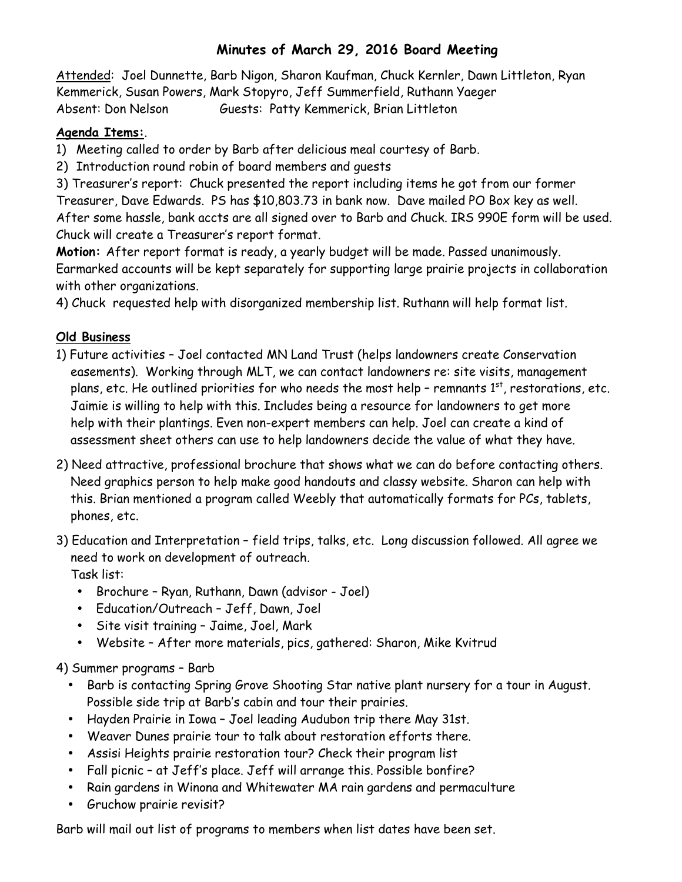## **Minutes of March 29, 2016 Board Meeting**

Attended: Joel Dunnette, Barb Nigon, Sharon Kaufman, Chuck Kernler, Dawn Littleton, Ryan Kemmerick, Susan Powers, Mark Stopyro, Jeff Summerfield, Ruthann Yaeger Absent: Don Nelson Guests: Patty Kemmerick, Brian Littleton

## **Agenda Items:**.

1) Meeting called to order by Barb after delicious meal courtesy of Barb.

2) Introduction round robin of board members and guests

3) Treasurer's report: Chuck presented the report including items he got from our former Treasurer, Dave Edwards. PS has \$10,803.73 in bank now. Dave mailed PO Box key as well. After some hassle, bank accts are all signed over to Barb and Chuck. IRS 990E form will be used. Chuck will create a Treasurer's report format.

**Motion:** After report format is ready, a yearly budget will be made. Passed unanimously. Earmarked accounts will be kept separately for supporting large prairie projects in collaboration with other organizations.

4) Chuck requested help with disorganized membership list. Ruthann will help format list.

## **Old Business**

- 1) Future activities Joel contacted MN Land Trust (helps landowners create Conservation easements). Working through MLT, we can contact landowners re: site visits, management plans, etc. He outlined priorities for who needs the most help - remnants  $1<sup>st</sup>$ , restorations, etc. Jaimie is willing to help with this. Includes being a resource for landowners to get more help with their plantings. Even non-expert members can help. Joel can create a kind of assessment sheet others can use to help landowners decide the value of what they have.
- 2) Need attractive, professional brochure that shows what we can do before contacting others. Need graphics person to help make good handouts and classy website. Sharon can help with this. Brian mentioned a program called Weebly that automatically formats for PCs, tablets, phones, etc.
- 3) Education and Interpretation field trips, talks, etc. Long discussion followed. All agree we need to work on development of outreach. Task list:
	- Brochure Ryan, Ruthann, Dawn (advisor Joel)
	- Education/Outreach Jeff, Dawn, Joel
	- Site visit training Jaime, Joel, Mark
	- Website After more materials, pics, gathered: Sharon, Mike Kvitrud

4) Summer programs – Barb

- Barb is contacting Spring Grove Shooting Star native plant nursery for a tour in August. Possible side trip at Barb's cabin and tour their prairies.
- Hayden Prairie in Iowa Joel leading Audubon trip there May 31st.
- Weaver Dunes prairie tour to talk about restoration efforts there.
- Assisi Heights prairie restoration tour? Check their program list
- Fall picnic at Jeff's place. Jeff will arrange this. Possible bonfire?
- Rain gardens in Winona and Whitewater MA rain gardens and permaculture
- Gruchow prairie revisit?

Barb will mail out list of programs to members when list dates have been set.